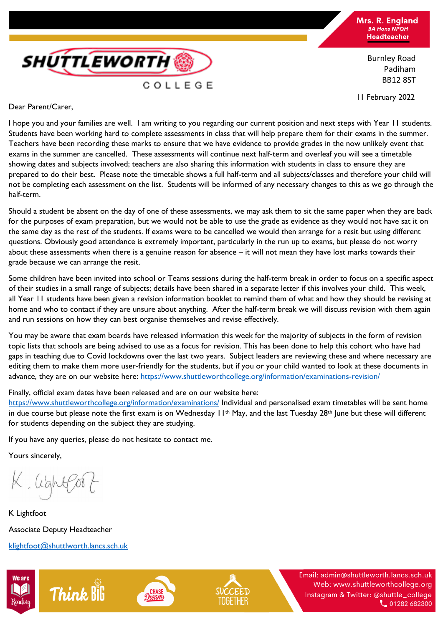

Burnley Road Padiham BB12 8ST

11 February 2022

**SHUTTLEWORTH** COLLEGE

Dear Parent/Carer,

I hope you and your families are well. I am writing to you regarding our current position and next steps with Year 11 students. Students have been working hard to complete assessments in class that will help prepare them for their exams in the summer. Teachers have been recording these marks to ensure that we have evidence to provide grades in the now unlikely event that exams in the summer are cancelled. These assessments will continue next half-term and overleaf you will see a timetable showing dates and subjects involved; teachers are also sharing this information with students in class to ensure they are prepared to do their best. Please note the timetable shows a full half-term and all subjects/classes and therefore your child will not be completing each assessment on the list. Students will be informed of any necessary changes to this as we go through the half-term.

Should a student be absent on the day of one of these assessments, we may ask them to sit the same paper when they are back for the purposes of exam preparation, but we would not be able to use the grade as evidence as they would not have sat it on the same day as the rest of the students. If exams were to be cancelled we would then arrange for a resit but using different questions. Obviously good attendance is extremely important, particularly in the run up to exams, but please do not worry about these assessments when there is a genuine reason for absence – it will not mean they have lost marks towards their grade because we can arrange the resit.

Some children have been invited into school or Teams sessions during the half-term break in order to focus on a specific aspect of their studies in a small range of subjects; details have been shared in a separate letter if this involves your child. This week, all Year 11 students have been given a revision information booklet to remind them of what and how they should be revising at home and who to contact if they are unsure about anything. After the half-term break we will discuss revision with them again and run sessions on how they can best organise themselves and revise effectively.

You may be aware that exam boards have released information this week for the majority of subjects in the form of revision topic lists that schools are being advised to use as a focus for revision. This has been done to help this cohort who have had gaps in teaching due to Covid lockdowns over the last two years. Subject leaders are reviewing these and where necessary are editing them to make them more user-friendly for the students, but if you or your child wanted to look at these documents in advance, they are on our website here:<https://www.shuttleworthcollege.org/information/examinations-revision/>

Finally, official exam dates have been released and are on our website here:

<https://www.shuttleworthcollege.org/information/examinations/> Individual and personalised exam timetables will be sent home in due course but please note the first exam is on Wednesday  $11<sup>th</sup>$  May, and the last Tuesday 28<sup>th</sup> June but these will different for students depending on the subject they are studying.

If you have any queries, please do not hesitate to contact me.

Yours sincerely,

K. lightfor

K Lightfoot Associate Deputy Headteacher [klightfoot@shuttlworth.lancs.sch.uk](mailto:klightfoot@shuttlworth.lancs.sch.uk)

**Think BiG**